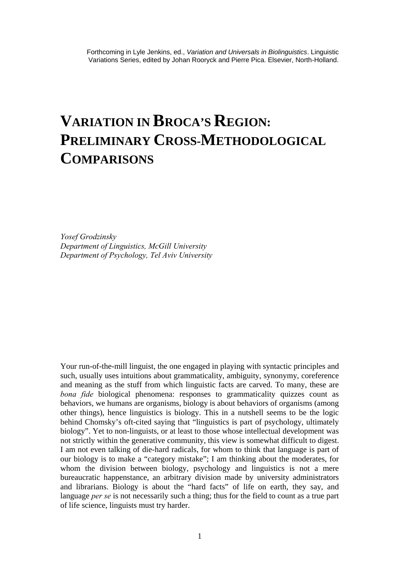# **VARIATION IN BROCA'S REGION: PRELIMINARY CROSS-METHODOLOGICAL COMPARISONS**

*Yosef Grodzinsky Department of Linguistics, McGill University Department of Psychology, Tel Aviv University* 

Your run-of-the-mill linguist, the one engaged in playing with syntactic principles and such, usually uses intuitions about grammaticality, ambiguity, synonymy, coreference and meaning as the stuff from which linguistic facts are carved. To many, these are *bona fide* biological phenomena: responses to grammaticality quizzes count as behaviors, we humans are organisms, biology is about behaviors of organisms (among other things), hence linguistics is biology. This in a nutshell seems to be the logic behind Chomsky's oft-cited saying that "linguistics is part of psychology, ultimately biology". Yet to non-linguists, or at least to those whose intellectual development was not strictly within the generative community, this view is somewhat difficult to digest. I am not even talking of die-hard radicals, for whom to think that language is part of our biology is to make a "category mistake"; I am thinking about the moderates, for whom the division between biology, psychology and linguistics is not a mere bureaucratic happenstance, an arbitrary division made by university administrators and librarians. Biology is about the "hard facts" of life on earth, they say, and language *per se* is not necessarily such a thing; thus for the field to count as a true part of life science, linguists must try harder.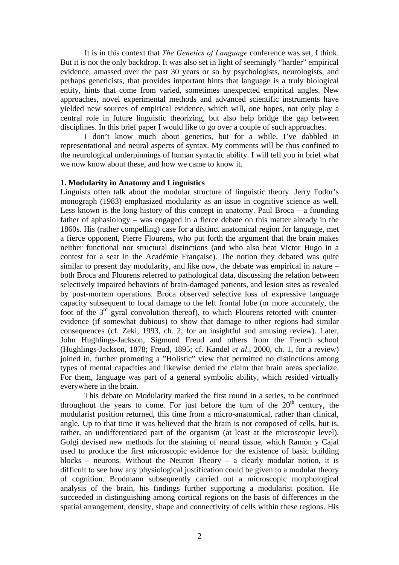It is in this context that *The Genetics of Language* conference was set, I think. But it is not the only backdrop. It was also set in light of seemingly "harder" empirical evidence, amassed over the past 30 years or so by psychologists, neurologists, and perhaps geneticists, that provides important hints that language is a truly biological entity, hints that come from varied, sometimes unexpected empirical angles. New approaches, novel experimental methods and advanced scientific instruments have yielded new sources of empirical evidence, which will, one hopes, not only play a central role in future linguistic theorizing, but also help bridge the gap between disciplines. In this brief paper I would like to go over a couple of such approaches.

I don't know much about genetics, but for a while, I've dabbled in representational and neural aspects of syntax. My comments will be thus confined to the neurological underpinnings of human syntactic ability. I will tell you in brief what we now know about these, and how we came to know it.

#### **1. Modularity in Anatomy and Linguistics**

Linguists often talk about the modular structure of linguistic theory. Jerry Fodor's monograph (1983) emphasized modularity as an issue in cognitive science as well. Less known is the long history of this concept in anatomy. Paul Broca  $-$  a founding father of aphasiology – was engaged in a fierce debate on this matter already in the 1860s. His (rather compelling) case for a distinct anatomical region for language, met a fierce opponent, Pierre Flourens, who put forth the argument that the brain makes neither functional nor structural distinctions (and who also beat Victor Hugo in a contest for a seat in the Académie Française). The notion they debated was quite similar to present day modularity, and like now, the debate was empirical in nature – both Broca and Flourens referred to pathological data, discussing the relation between selectively impaired behaviors of brain-damaged patients, and lesion sites as revealed by post-mortem operations. Broca observed selective loss of expressive language capacity subsequent to focal damage to the left frontal lobe (or more accurately, the foot of the  $3<sup>rd</sup>$  gyral convolution thereof), to which Flourens retorted with counterevidence (if somewhat dubious) to show that damage to other regions had similar consequences (cf. Zeki, 1993, ch. 2, for an insightful and amusing review). Later, John Hughlings-Jackson, Sigmund Freud and others from the French school (Hughlings-Jackson, 1878; Freud, 1895; cf. Kandel *et al*., 2000, ch. 1, for a review) joined in, further promoting a "Holistic" view that permitted no distinctions among types of mental capacities and likewise denied the claim that brain areas specialize. For them, language was part of a general symbolic ability, which resided virtually everywhere in the brain.

This debate on Modularity marked the first round in a series, to be continued throughout the years to come. For just before the turn of the  $20<sup>th</sup>$  century, the modularist position returned, this time from a micro-anatomical, rather than clinical, angle. Up to that time it was believed that the brain is not composed of cells, but is, rather, an undifferentiated part of the organism (at least at the microscopic level). Golgi devised new methods for the staining of neural tissue, which Ramón y Cajal used to produce the first microscopic evidence for the existence of basic building blocks – neurons. Without the Neuron Theory – a clearly modular notion, it is difficult to see how any physiological justification could be given to a modular theory of cognition. Brodmann subsequently carried out a microscopic morphological analysis of the brain, his findings further supporting a modularist position. He succeeded in distinguishing among cortical regions on the basis of differences in the spatial arrangement, density, shape and connectivity of cells within these regions. His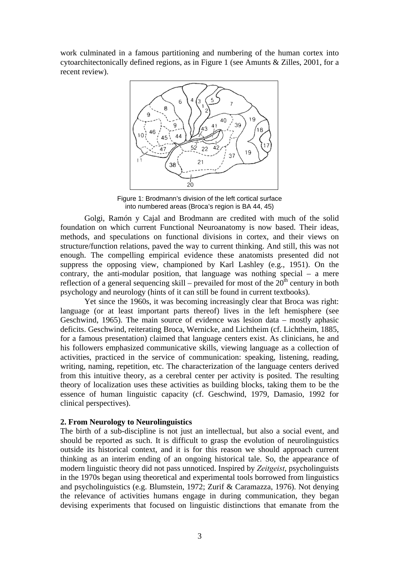work culminated in a famous partitioning and numbering of the human cortex into cytoarchitectonically defined regions, as in Figure 1 (see Amunts & Zilles, 2001, for a recent review).



Figure 1: Brodmann's division of the left cortical surface into numbered areas (Broca's region is BA 44, 45)

Golgi, Ramón y Cajal and Brodmann are credited with much of the solid foundation on which current Functional Neuroanatomy is now based. Their ideas, methods, and speculations on functional divisions in cortex, and their views on structure/function relations, paved the way to current thinking. And still, this was not enough. The compelling empirical evidence these anatomists presented did not suppress the opposing view, championed by Karl Lashley (e.g., 1951). On the contrary, the anti-modular position, that language was nothing special – a mere reflection of a general sequencing skill – prevailed for most of the  $20<sup>th</sup>$  century in both psychology and neurology (hints of it can still be found in current textbooks).

Yet since the 1960s, it was becoming increasingly clear that Broca was right: language (or at least important parts thereof) lives in the left hemisphere (see Geschwind, 1965). The main source of evidence was lesion data – mostly aphasic deficits. Geschwind, reiterating Broca, Wernicke, and Lichtheim (cf. Lichtheim, 1885, for a famous presentation) claimed that language centers exist. As clinicians, he and his followers emphasized communicative skills, viewing language as a collection of activities, practiced in the service of communication: speaking, listening, reading, writing, naming, repetition, etc. The characterization of the language centers derived from this intuitive theory, as a cerebral center per activity is posited. The resulting theory of localization uses these activities as building blocks, taking them to be the essence of human linguistic capacity (cf. Geschwind, 1979, Damasio, 1992 for clinical perspectives).

#### **2. From Neurology to Neurolinguistics**

The birth of a sub-discipline is not just an intellectual, but also a social event, and should be reported as such. It is difficult to grasp the evolution of neurolinguistics outside its historical context, and it is for this reason we should approach current thinking as an interim ending of an ongoing historical tale. So, the appearance of modern linguistic theory did not pass unnoticed. Inspired by *Zeitgeist*, psycholinguists in the 1970s began using theoretical and experimental tools borrowed from linguistics and psycholinguistics (e.g. Blumstein, 1972; Zurif & Caramazza, 1976). Not denying the relevance of activities humans engage in during communication, they began devising experiments that focused on linguistic distinctions that emanate from the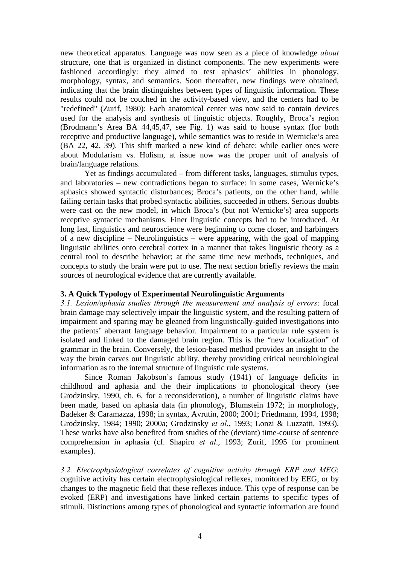new theoretical apparatus. Language was now seen as a piece of knowledge *about* structure, one that is organized in distinct components. The new experiments were fashioned accordingly: they aimed to test aphasics' abilities in phonology, morphology, syntax, and semantics. Soon thereafter, new findings were obtained, indicating that the brain distinguishes between types of linguistic information. These results could not be couched in the activity-based view, and the centers had to be "redefined" (Zurif, 1980): Each anatomical center was now said to contain devices used for the analysis and synthesis of linguistic objects. Roughly, Broca's region (Brodmann's Area BA 44,45,47, see Fig. 1) was said to house syntax (for both receptive and productive language), while semantics was to reside in Wernicke's area (BA 22, 42, 39). This shift marked a new kind of debate: while earlier ones were about Modularism vs. Holism, at issue now was the proper unit of analysis of brain/language relations.

Yet as findings accumulated – from different tasks, languages, stimulus types, and laboratories – new contradictions began to surface: in some cases, Wernicke's aphasics showed syntactic disturbances; Broca's patients, on the other hand, while failing certain tasks that probed syntactic abilities, succeeded in others. Serious doubts were cast on the new model, in which Broca's (but not Wernicke's) area supports receptive syntactic mechanisms. Finer linguistic concepts had to be introduced. At long last, linguistics and neuroscience were beginning to come closer, and harbingers of a new discipline – Neurolinguistics – were appearing, with the goal of mapping linguistic abilities onto cerebral cortex in a manner that takes linguistic theory as a central tool to describe behavior; at the same time new methods, techniques, and concepts to study the brain were put to use. The next section briefly reviews the main sources of neurological evidence that are currently available.

# **3. A Quick Typology of Experimental Neurolinguistic Arguments**

*3.1. Lesion/aphasia studies through the measurement and analysis of errors*: focal brain damage may selectively impair the linguistic system, and the resulting pattern of impairment and sparing may be gleaned from linguistically-guided investigations into the patients' aberrant language behavior. Impairment to a particular rule system is isolated and linked to the damaged brain region. This is the "new localization" of grammar in the brain. Conversely, the lesion-based method provides an insight to the way the brain carves out linguistic ability, thereby providing critical neurobiological information as to the internal structure of linguistic rule systems.

Since Roman Jakobson's famous study (1941) of language deficits in childhood and aphasia and the their implications to phonological theory (see Grodzinsky, 1990, ch. 6, for a reconsideration), a number of linguistic claims have been made, based on aphasia data (in phonology, Blumstein 1972; in morphology, Badeker & Caramazza, 1998; in syntax, Avrutin, 2000; 2001; Friedmann, 1994, 1998; Grodzinsky, 1984; 1990; 2000a; Grodzinsky *et al*., 1993; Lonzi & Luzzatti, 1993). These works have also benefited from studies of the (deviant) time-course of sentence comprehension in aphasia (cf. Shapiro *et al*., 1993; Zurif, 1995 for prominent examples).

*3.2. Electrophysiological correlates of cognitive activity through ERP and MEG*: cognitive activity has certain electrophysiological reflexes, monitored by EEG, or by changes to the magnetic field that these reflexes induce. This type of response can be evoked (ERP) and investigations have linked certain patterns to specific types of stimuli. Distinctions among types of phonological and syntactic information are found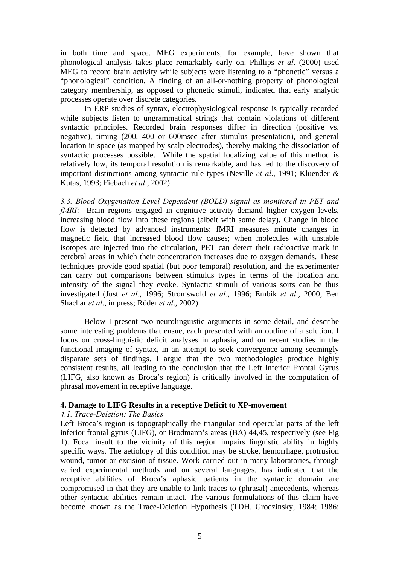in both time and space. MEG experiments, for example, have shown that phonological analysis takes place remarkably early on. Phillips *et al*. (2000) used MEG to record brain activity while subjects were listening to a "phonetic" versus a "phonological" condition. A finding of an all-or-nothing property of phonological category membership, as opposed to phonetic stimuli, indicated that early analytic processes operate over discrete categories.

 In ERP studies of syntax, electrophysiological response is typically recorded while subjects listen to ungrammatical strings that contain violations of different syntactic principles. Recorded brain responses differ in direction (positive vs. negative), timing (200, 400 or 600msec after stimulus presentation), and general location in space (as mapped by scalp electrodes), thereby making the dissociation of syntactic processes possible. While the spatial localizing value of this method is relatively low, its temporal resolution is remarkable, and has led to the discovery of important distinctions among syntactic rule types (Neville *et al*., 1991; Kluender & Kutas, 1993; Fiebach *et al*., 2002).

*3.3. Blood Oxygenation Level Dependent (BOLD) signal as monitored in PET and fMRI*: Brain regions engaged in cognitive activity demand higher oxygen levels, increasing blood flow into these regions (albeit with some delay). Change in blood flow is detected by advanced instruments: fMRI measures minute changes in magnetic field that increased blood flow causes; when molecules with unstable isotopes are injected into the circulation, PET can detect their radioactive mark in cerebral areas in which their concentration increases due to oxygen demands. These techniques provide good spatial (but poor temporal) resolution, and the experimenter can carry out comparisons between stimulus types in terms of the location and intensity of the signal they evoke. Syntactic stimuli of various sorts can be thus investigated (Just *et al.*, 1996; Stromswold *et al.*, 1996; Embik *et al*., 2000; Ben Shachar *et al*., in press; Röder *et al*., 2002).

Below I present two neurolinguistic arguments in some detail, and describe some interesting problems that ensue, each presented with an outline of a solution. I focus on cross-linguistic deficit analyses in aphasia, and on recent studies in the functional imaging of syntax, in an attempt to seek convergence among seemingly disparate sets of findings. I argue that the two methodologies produce highly consistent results, all leading to the conclusion that the Left Inferior Frontal Gyrus (LIFG, also known as Broca's region) is critically involved in the computation of phrasal movement in receptive language.

# **4. Damage to LIFG Results in a receptive Deficit to XP-movement**

## *4.1. Trace-Deletion: The Basics*

Left Broca's region is topographically the triangular and opercular parts of the left inferior frontal gyrus (LIFG), or Brodmann's areas (BA) 44,45, respectively (see Fig 1). Focal insult to the vicinity of this region impairs linguistic ability in highly specific ways. The aetiology of this condition may be stroke, hemorrhage, protrusion wound, tumor or excision of tissue. Work carried out in many laboratories, through varied experimental methods and on several languages, has indicated that the receptive abilities of Broca's aphasic patients in the syntactic domain are compromised in that they are unable to link traces to (phrasal) antecedents, whereas other syntactic abilities remain intact. The various formulations of this claim have become known as the Trace-Deletion Hypothesis (TDH, Grodzinsky, 1984; 1986;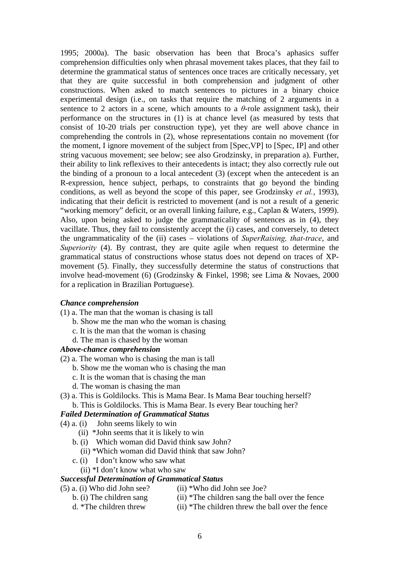1995; 2000a). The basic observation has been that Broca's aphasics suffer comprehension difficulties only when phrasal movement takes places, that they fail to determine the grammatical status of sentences once traces are critically necessary, yet that they are quite successful in both comprehension and judgment of other constructions. When asked to match sentences to pictures in a binary choice experimental design (i.e., on tasks that require the matching of 2 arguments in a sentence to 2 actors in a scene, which amounts to a  $\theta$ -role assignment task), their performance on the structures in (1) is at chance level (as measured by tests that consist of 10-20 trials per construction type), yet they are well above chance in comprehending the controls in (2), whose representations contain no movement (for the moment, I ignore movement of the subject from [Spec,VP] to [Spec, IP] and other string vacuous movement; see below; see also Grodzinsky, in preparation a). Further, their ability to link reflexives to their antecedents is intact; they also correctly rule out the binding of a pronoun to a local antecedent (3) (except when the antecedent is an R-expression, hence subject, perhaps, to constraints that go beyond the binding conditions, as well as beyond the scope of this paper, see Grodzinsky *et al.*, 1993), indicating that their deficit is restricted to movement (and is not a result of a generic "working memory" deficit, or an overall linking failure, e.g., Caplan & Waters, 1999). Also, upon being asked to judge the grammaticality of sentences as in (4), they vacillate. Thus, they fail to consistently accept the (i) cases, and conversely, to detect the ungrammaticality of the (ii) cases – violations of *SuperRaising, that-trace*, and *Superiority* (4). By contrast, they are quite agile when request to determine the grammatical status of constructions whose status does not depend on traces of XPmovement (5). Finally, they successfully determine the status of constructions that involve head-movement (6) (Grodzinsky & Finkel, 1998; see Lima & Novaes, 2000 for a replication in Brazilian Portuguese).

# *Chance comprehension*

- (1) a. The man that the woman is chasing is tall
	- b. Show me the man who the woman is chasing
	- c. It is the man that the woman is chasing
	- d. The man is chased by the woman

## *Above-chance comprehension*

- (2) a. The woman who is chasing the man is tall
	- b. Show me the woman who is chasing the man
	- c. It is the woman that is chasing the man
	- d. The woman is chasing the man
- (3) a. This is Goldilocks. This is Mama Bear. Is Mama Bear touching herself? b. This is Goldilocks. This is Mama Bear. Is every Bear touching her?

# *Failed Determination of Grammatical Status*

- (4) a. (i) John seems likely to win
	- (ii) \*John seems that it is likely to win
	- b. (i) Which woman did David think saw John?
		- (ii) \*Which woman did David think that saw John?
	- c. (i) I don't know who saw what

(ii) \*I don't know what who saw

# *Successful Determination of Grammatical Status*

- (5) a. (i) Who did John see? (ii) \*Who did John see Joe?
	- b. (i) The children sang (ii) \*The children sang the ball over the fence
	- d. \*The children threw (ii) \*The children threw the ball over the fence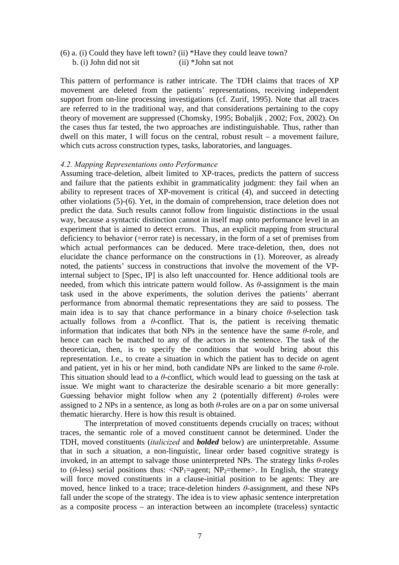(6) a. (i) Could they have left town? (ii) \*Have they could leave town? b. (i) John did not sit (ii) \*John sat not

This pattern of performance is rather intricate. The TDH claims that traces of XP movement are deleted from the patients' representations, receiving independent support from on-line processing investigations (cf. Zurif, 1995). Note that all traces are referred to in the traditional way, and that considerations pertaining to the copy theory of movement are suppressed (Chomsky, 1995; Bobaljik , 2002; Fox, 2002). On the cases thus far tested, the two approaches are indistinguishable. Thus, rather than dwell on this mater, I will focus on the central, robust result – a movement failure, which cuts across construction types, tasks, laboratories, and languages.

#### *4.2. Mapping Representations onto Performance*

Assuming trace-deletion, albeit limited to XP-traces, predicts the pattern of success and failure that the patients exhibit in grammaticality judgment: they fail when an ability to represent traces of XP-movement is critical (4), and succeed in detecting other violations (5)-(6). Yet, in the domain of comprehension, trace deletion does not predict the data. Such results cannot follow from linguistic distinctions in the usual way, because a syntactic distinction cannot in itself map onto performance level in an experiment that is aimed to detect errors. Thus, an explicit mapping from structural deficiency to behavior (=error rate) is necessary, in the form of a set of premises from which actual performances can be deduced. Mere trace-deletion, then, does not elucidate the chance performance on the constructions in (1). Moreover, as already noted, the patients' success in constructions that involve the movement of the VPinternal subject to [Spec, IP] is also left unaccounted for. Hence additional tools are needed, from which this intricate pattern would follow. As *θ*-assignment is the main task used in the above experiments, the solution derives the patients' aberrant performance from abnormal thematic representations they are said to possess. The main idea is to say that chance performance in a binary choice *θ*-selection task actually follows from a  $\theta$ -conflict. That is, the patient is receiving thematic information that indicates that both NPs in the sentence have the same *θ*-role, and hence can each be matched to any of the actors in the sentence. The task of the theoretician, then, is to specify the conditions that would bring about this representation. I.e., to create a situation in which the patient has to decide on agent and patient, yet in his or her mind, both candidate NPs are linked to the same *θ*-role. This situation should lead to a *θ*-conflict, which would lead to guessing on the task at issue. We might want to characterize the desirable scenario a bit more generally: Guessing behavior might follow when any 2 (potentially different) *θ*-roles were assigned to 2 NPs in a sentence, as long as both *θ*-roles are on a par on some universal thematic hierarchy. Here is how this result is obtained.

The interpretation of moved constituents depends crucially on traces; without traces, the semantic role of a moved constituent cannot be determined. Under the TDH, moved constituents (*italicized* and *bolded* below) are uninterpretable. Assume that in such a situation, a non-linguistic, linear order based cognitive strategy is invoked, in an attempt to salvage those uninterpreted NPs. The strategy links *θ*-roles to ( $\theta$ -less) serial positions thus:  $\langle NP_1$ =agent;  $NP_2$ =theme>. In English, the strategy will force moved constituents in a clause-initial position to be agents: They are moved, hence linked to a trace; trace-deletion hinders *θ*-assignment, and these NPs fall under the scope of the strategy. The idea is to view aphasic sentence interpretation as a composite process – an interaction between an incomplete (traceless) syntactic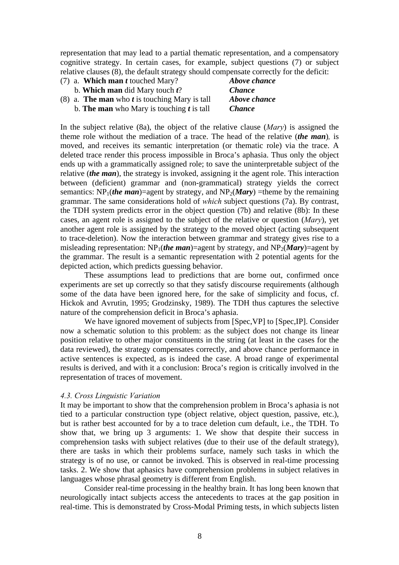representation that may lead to a partial thematic representation, and a compensatory cognitive strategy. In certain cases, for example, subject questions (7) or subject relative clauses (8), the default strategy should compensate correctly for the deficit: (7) a. **Which man** *t* touched Mary? *Above chance*

| $\langle \cdot \rangle$ over $\langle \cdot \rangle$ and what analyzed $\langle \cdot \rangle$ to the set $\langle \cdot \rangle$ and $\langle \cdot \rangle$ |               |
|---------------------------------------------------------------------------------------------------------------------------------------------------------------|---------------|
| b. Which man did Mary touch $t$ ?                                                                                                                             | <i>Chance</i> |
| (8) a. <b>The man</b> who $t$ is touching Mary is tall                                                                                                        | Above chance  |
| b. The man who Mary is touching $t$ is tall                                                                                                                   | <i>Chance</i> |

In the subject relative (8a), the object of the relative clause (*Mary*) is assigned the theme role without the mediation of a trace. The head of the relative (*the man*)*,* is moved, and receives its semantic interpretation (or thematic role) via the trace. A deleted trace render this process impossible in Broca's aphasia. Thus only the object ends up with a grammatically assigned role; to save the uninterpretable subject of the relative (*the man*), the strategy is invoked, assigning it the agent role. This interaction between (deficient) grammar and (non-grammatical) strategy yields the correct semantics:  $NP_1$ (*the man*)=agent by strategy, and  $NP_2$ (*Mary*) =theme by the remaining grammar. The same considerations hold of *which* subject questions (7a). By contrast, the TDH system predicts error in the object question (7b) and relative (8b): In these cases, an agent role is assigned to the subject of the relative or question (*Mary*), yet another agent role is assigned by the strategy to the moved object (acting subsequent to trace-deletion). Now the interaction between grammar and strategy gives rise to a misleading representation:  $NP_1$ (*the man*)=agent by strategy, and  $NP_2$ (*Mary*)=agent by the grammar. The result is a semantic representation with 2 potential agents for the depicted action, which predicts guessing behavior.

These assumptions lead to predictions that are borne out, confirmed once experiments are set up correctly so that they satisfy discourse requirements (although some of the data have been ignored here, for the sake of simplicity and focus, cf. Hickok and Avrutin, 1995; Grodzinsky, 1989). The TDH thus captures the selective nature of the comprehension deficit in Broca's aphasia.

We have ignored movement of subjects from [Spec, VP] to [Spec, IP]. Consider now a schematic solution to this problem: as the subject does not change its linear position relative to other major constituents in the string (at least in the cases for the data reviewed), the strategy compensates correctly, and above chance performance in active sentences is expected, as is indeed the case. A broad range of experimental results is derived, and with it a conclusion: Broca's region is critically involved in the representation of traces of movement.

#### *4.3. Cross Linguistic Variation*

It may be important to show that the comprehension problem in Broca's aphasia is not tied to a particular construction type (object relative, object question, passive, etc.), but is rather best accounted for by a to trace deletion cum default, i.e., the TDH. To show that, we bring up 3 arguments: 1. We show that despite their success in comprehension tasks with subject relatives (due to their use of the default strategy), there are tasks in which their problems surface, namely such tasks in which the strategy is of no use, or cannot be invoked. This is observed in real-time processing tasks. 2. We show that aphasics have comprehension problems in subject relatives in languages whose phrasal geometry is different from English.

 Consider real-time processing in the healthy brain. It has long been known that neurologically intact subjects access the antecedents to traces at the gap position in real-time. This is demonstrated by Cross-Modal Priming tests, in which subjects listen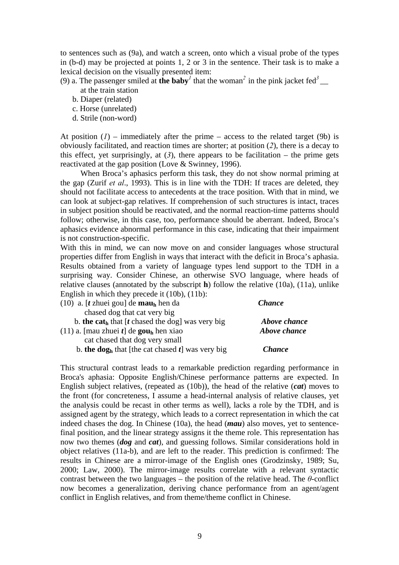to sentences such as (9a), and watch a screen, onto which a visual probe of the types in (b-d) may be projected at points 1, 2 or 3 in the sentence. Their task is to make a lexical decision on the visually presented item:

- (9) a. The passenger smiled at **the baby**<sup>*l*</sup> that the woman<sup>2</sup> in the pink jacket fed<sup>3</sup>  $\qquad$ 
	- at the train station
	- b. Diaper (related)
	- c. Horse (unrelated)
	- d. Strile (non-word)

At position  $(I)$  – immediately after the prime – access to the related target (9b) is obviously facilitated, and reaction times are shorter; at position (*2*), there is a decay to this effect, yet surprisingly, at  $(3)$ , there appears to be facilitation – the prime gets reactivated at the gap position (Love & Swinney, 1996).

When Broca's aphasics perform this task, they do not show normal priming at the gap (Zurif *et al*., 1993). This is in line with the TDH: If traces are deleted, they should not facilitate access to antecedents at the trace position. With that in mind, we can look at subject-gap relatives. If comprehension of such structures is intact, traces in subject position should be reactivated, and the normal reaction-time patterns should follow; otherwise, in this case, too, performance should be aberrant. Indeed, Broca's aphasics evidence abnormal performance in this case, indicating that their impairment is not construction-specific.

With this in mind, we can now move on and consider languages whose structural properties differ from English in ways that interact with the deficit in Broca's aphasia. Results obtained from a variety of language types lend support to the TDH in a surprising way. Consider Chinese, an otherwise SVO language, where heads of relative clauses (annotated by the subscript **h**) follow the relative (10a), (11a), unlike English in which they precede it (10b), (11b):

| $(10)$ a. [t zhuei gou] de <b>mau</b> <sub>h</sub> hen da       | <i>Chance</i> |
|-----------------------------------------------------------------|---------------|
| chased dog that cat very big                                    |               |
| b. the cath that [t chased the dog] was very big                | Above chance  |
| $(11)$ a. [mau zhuei t] de gou <sub>h</sub> hen xiao            | Above chance  |
| cat chased that dog very small                                  |               |
| b. the dog <sub>h</sub> that [the cat chased $t$ ] was very big | <i>Chance</i> |

This structural contrast leads to a remarkable prediction regarding performance in Broca's aphasia: Opposite English/Chinese performance patterns are expected. In English subject relatives, (repeated as (10b)), the head of the relative (*cat*) moves to the front (for concreteness, I assume a head-internal analysis of relative clauses, yet the analysis could be recast in other terms as well), lacks a role by the TDH, and is assigned agent by the strategy, which leads to a correct representation in which the cat indeed chases the dog. In Chinese (10a), the head (*mau*) also moves, yet to sentencefinal position, and the linear strategy assigns it the theme role. This representation has now two themes (*dog* and *cat*), and guessing follows. Similar considerations hold in object relatives (11a-b), and are left to the reader. This prediction is confirmed: The results in Chinese are a mirror-image of the English ones (Grodzinsky, 1989; Su, 2000; Law, 2000). The mirror-image results correlate with a relevant syntactic contrast between the two languages – the position of the relative head. The  $\theta$ -conflict now becomes a generalization, deriving chance performance from an agent/agent conflict in English relatives, and from theme/theme conflict in Chinese.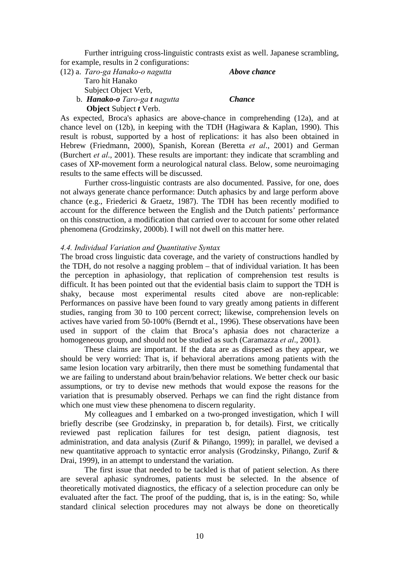Further intriguing cross-linguistic contrasts exist as well. Japanese scrambling, for example, results in 2 configurations:

(12) a. *Taro-ga Hanako-o nagutta Above chance* 

Taro hit Hanako

Subject Object Verb,

 b. *Hanako-o Taro-ga t nagutta Chance*  **Object** Subject *t* Verb.

As expected, Broca's aphasics are above-chance in comprehending (12a), and at chance level on (12b), in keeping with the TDH (Hagiwara & Kaplan, 1990). This result is robust, supported by a host of replications: it has also been obtained in Hebrew (Friedmann, 2000), Spanish, Korean (Beretta *et al*., 2001) and German (Burchert *et al*., 2001). These results are important: they indicate that scrambling and cases of XP-movement form a neurological natural class. Below, some neuroimaging results to the same effects will be discussed.

Further cross-linguistic contrasts are also documented. Passive, for one, does not always generate chance performance: Dutch aphasics by and large perform above chance (e.g., Friederici & Graetz, 1987). The TDH has been recently modified to account for the difference between the English and the Dutch patients' performance on this construction, a modification that carried over to account for some other related phenomena (Grodzinsky, 2000b). I will not dwell on this matter here.

# *4.4. Individual Variation and Quantitative Syntax*

The broad cross linguistic data coverage, and the variety of constructions handled by the TDH, do not resolve a nagging problem – that of individual variation. It has been the perception in aphasiology, that replication of comprehension test results is difficult. It has been pointed out that the evidential basis claim to support the TDH is shaky, because most experimental results cited above are non-replicable: Performances on passive have been found to vary greatly among patients in different studies, ranging from 30 to 100 percent correct; likewise, comprehension levels on actives have varied from 50-100% (Berndt et al., 1996). These observations have been used in support of the claim that Broca's aphasia does not characterize a homogeneous group, and should not be studied as such (Caramazza *et al*., 2001).

These claims are important. If the data are as dispersed as they appear, we should be very worried: That is, if behavioral aberrations among patients with the same lesion location vary arbitrarily, then there must be something fundamental that we are failing to understand about brain/behavior relations. We better check our basic assumptions, or try to devise new methods that would expose the reasons for the variation that is presumably observed. Perhaps we can find the right distance from which one must view these phenomena to discern regularity.

 My colleagues and I embarked on a two-pronged investigation, which I will briefly describe (see Grodzinsky, in preparation b, for details). First, we critically reviewed past replication failures for test design, patient diagnosis, test administration, and data analysis (Zurif & Piñango, 1999); in parallel, we devised a new quantitative approach to syntactic error analysis (Grodzinsky, Piñango, Zurif & Drai, 1999), in an attempt to understand the variation.

 The first issue that needed to be tackled is that of patient selection. As there are several aphasic syndromes, patients must be selected. In the absence of theoretically motivated diagnostics, the efficacy of a selection procedure can only be evaluated after the fact. The proof of the pudding, that is, is in the eating: So, while standard clinical selection procedures may not always be done on theoretically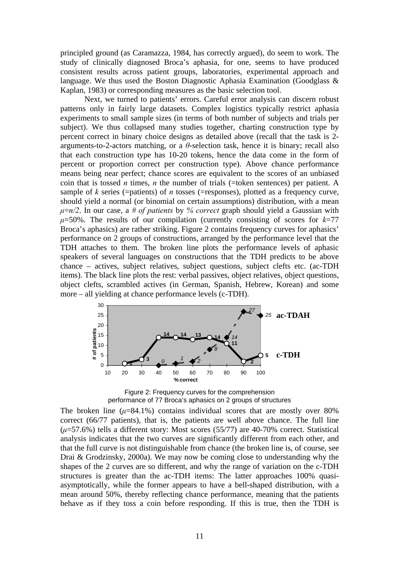principled ground (as Caramazza, 1984, has correctly argued), do seem to work. The study of clinically diagnosed Broca's aphasia, for one, seems to have produced consistent results across patient groups, laboratories, experimental approach and language. We thus used the Boston Diagnostic Aphasia Examination (Goodglass & Kaplan, 1983) or corresponding measures as the basic selection tool.

Next, we turned to patients' errors. Careful error analysis can discern robust patterns only in fairly large datasets. Complex logistics typically restrict aphasia experiments to small sample sizes (in terms of both number of subjects and trials per subject). We thus collapsed many studies together, charting construction type by percent correct in binary choice designs as detailed above (recall that the task is 2 arguments-to-2-actors matching, or a *θ*-selection task, hence it is binary; recall also that each construction type has 10-20 tokens, hence the data come in the form of percent or proportion correct per construction type). Above chance performance means being near perfect; chance scores are equivalent to the scores of an unbiased coin that is tossed *n* times, *n* the number of trials (=token sentences) per patient. A sample of *k* series (=patients) of *n* tosses (=responses), plotted as a frequency curve, should yield a normal (or binomial on certain assumptions) distribution, with a mean *µ*=*n/2*. In our case, a *# of patients* by *% correct* graph should yield a Gaussian with  $\mu$ =50%. The results of our compilation (currently consisting of scores for  $k=77$ Broca's aphasics) are rather striking. Figure 2 contains frequency curves for aphasics' performance on 2 groups of constructions, arranged by the performance level that the TDH attaches to them. The broken line plots the performance levels of aphasic speakers of several languages on constructions that the TDH predicts to be above chance – actives, subject relatives, subject questions, subject clefts etc. (ac-TDH items). The black line plots the rest: verbal passives, object relatives, object questions, object clefts, scrambled actives (in German, Spanish, Hebrew, Korean) and some more – all yielding at chance performance levels (c-TDH).



Figure 2: Frequency curves for the comprehension performance of 77 Broca's aphasics on 2 groups of structures

The broken line  $(\mu = 84.1\%)$  contains individual scores that are mostly over 80% correct (66/77 patients), that is, the patients are well above chance. The full line (*µ*=57.6%) tells a different story: Most scores (55/77) are 40-70% correct. Statistical analysis indicates that the two curves are significantly different from each other, and that the full curve is not distinguishable from chance (the broken line is, of course, see Drai & Grodzinsky, 2000a). We may now be coming close to understanding why the shapes of the 2 curves are so different, and why the range of variation on the c-TDH structures is greater than the ac-TDH items: The latter approaches 100% quasiasymptotically, while the former appears to have a bell-shaped distribution, with a mean around 50%, thereby reflecting chance performance, meaning that the patients behave as if they toss a coin before responding. If this is true, then the TDH is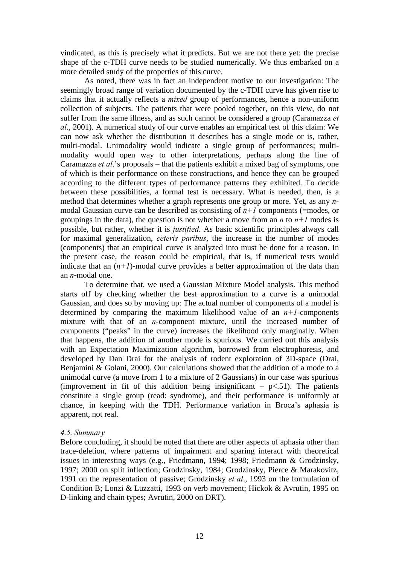vindicated, as this is precisely what it predicts. But we are not there yet: the precise shape of the c-TDH curve needs to be studied numerically. We thus embarked on a more detailed study of the properties of this curve.

As noted, there was in fact an independent motive to our investigation: The seemingly broad range of variation documented by the c-TDH curve has given rise to claims that it actually reflects a *mixed* group of performances, hence a non-uniform collection of subjects. The patients that were pooled together, on this view, do not suffer from the same illness, and as such cannot be considered a group (Caramazza *et al*., 2001). A numerical study of our curve enables an empirical test of this claim: We can now ask whether the distribution it describes has a single mode or is, rather, multi-modal. Unimodality would indicate a single group of performances; multimodality would open way to other interpretations, perhaps along the line of Caramazza *et al*.'s proposals – that the patients exhibit a mixed bag of symptoms, one of which is their performance on these constructions, and hence they can be grouped according to the different types of performance patterns they exhibited. To decide between these possibilities, a formal test is necessary. What is needed, then, is a method that determines whether a graph represents one group or more. Yet, as any *n*modal Gaussian curve can be described as consisting of  $n+1$  components (=modes, or groupings in the data), the question is not whether a move from an *n* to  $n+1$  modes is possible, but rather, whether it is *justified*. As basic scientific principles always call for maximal generalization, *ceteris paribus*, the increase in the number of modes (components) that an empirical curve is analyzed into must be done for a reason. In the present case, the reason could be empirical, that is, if numerical tests would indicate that an  $(n+1)$ -modal curve provides a better approximation of the data than an *n*-modal one.

To determine that, we used a Gaussian Mixture Model analysis. This method starts off by checking whether the best approximation to a curve is a unimodal Gaussian, and does so by moving up: The actual number of components of a model is determined by comparing the maximum likelihood value of an  $n+1$ -components mixture with that of an *n-*component mixture, until the increased number of components ("peaks" in the curve) increases the likelihood only marginally. When that happens, the addition of another mode is spurious. We carried out this analysis with an Expectation Maximization algorithm, borrowed from electrophoresis, and developed by Dan Drai for the analysis of rodent exploration of 3D-space (Drai, Benjamini & Golani, 2000). Our calculations showed that the addition of a mode to a unimodal curve (a move from 1 to a mixture of 2 Gaussians) in our case was spurious (improvement in fit of this addition being insignificant  $-$  p $\lt$ .51). The patients constitute a single group (read: syndrome), and their performance is uniformly at chance, in keeping with the TDH. Performance variation in Broca's aphasia is apparent, not real.

#### *4.5. Summary*

Before concluding, it should be noted that there are other aspects of aphasia other than trace-deletion, where patterns of impairment and sparing interact with theoretical issues in interesting ways (e.g., Friedmann, 1994; 1998; Friedmann & Grodzinsky, 1997; 2000 on split inflection; Grodzinsky, 1984; Grodzinsky, Pierce & Marakovitz, 1991 on the representation of passive; Grodzinsky *et al*., 1993 on the formulation of Condition B; Lonzi & Luzzatti, 1993 on verb movement; Hickok & Avrutin, 1995 on D-linking and chain types; Avrutin, 2000 on DRT).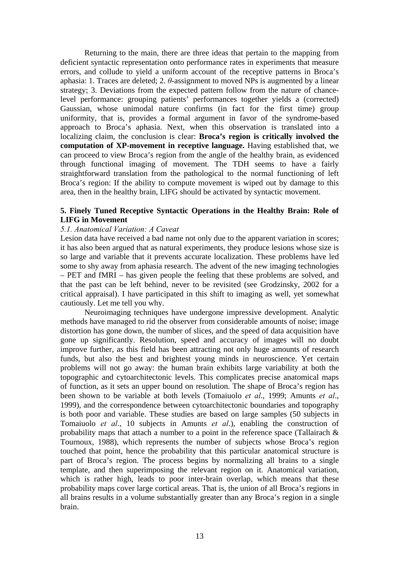Returning to the main, there are three ideas that pertain to the mapping from deficient syntactic representation onto performance rates in experiments that measure errors, and collude to yield a uniform account of the receptive patterns in Broca's aphasia: 1. Traces are deleted; 2. *θ*-assignment to moved NPs is augmented by a linear strategy; 3. Deviations from the expected pattern follow from the nature of chancelevel performance: grouping patients' performances together yields a (corrected) Gaussian, whose unimodal nature confirms (in fact for the first time) group uniformity, that is, provides a formal argument in favor of the syndrome-based approach to Broca's aphasia. Next, when this observation is translated into a localizing claim, the conclusion is clear: **Broca's region is critically involved the computation of XP-movement in receptive language.** Having established that, we can proceed to view Broca's region from the angle of the healthy brain, as evidenced through functional imaging of movement. The TDH seems to have a fairly straightforward translation from the pathological to the normal functioning of left Broca's region: If the ability to compute movement is wiped out by damage to this area, then in the healthy brain, LIFG should be activated by syntactic movement.

# **5. Finely Tuned Receptive Syntactic Operations in the Healthy Brain: Role of LIFG in Movement**

## *5.1. Anatomical Variation: A Caveat*

Lesion data have received a bad name not only due to the apparent variation in scores; it has also been argued that as natural experiments, they produce lesions whose size is so large and variable that it prevents accurate localization. These problems have led some to shy away from aphasia research. The advent of the new imaging technologies – PET and fMRI – has given people the feeling that these problems are solved, and that the past can be left behind, never to be revisited (see Grodzinsky, 2002 for a critical appraisal). I have participated in this shift to imaging as well, yet somewhat cautiously. Let me tell you why.

 Neuroimaging techniques have undergone impressive development. Analytic methods have managed to rid the observer from considerable amounts of noise; image distortion has gone down, the number of slices, and the speed of data acquisition have gone up significantly. Resolution, speed and accuracy of images will no doubt improve further, as this field has been attracting not only huge amounts of research funds, but also the best and brightest young minds in neuroscience. Yet certain problems will not go away: the human brain exhibits large variability at both the topographic and cytoarchitectonic levels. This complicates precise anatomical maps of function, as it sets an upper bound on resolution. The shape of Broca's region has been shown to be variable at both levels (Tomaiuolo *et al*., 1999; Amunts *et al*., 1999), and the correspondence between cytoarchitectonic boundaries and topography is both poor and variable. These studies are based on large samples (50 subjects in Tomaiuolo *et al*., 10 subjects in Amunts *et al*.), enabling the construction of probability maps that attach a number to a point in the reference space (Tallairach & Tournoux, 1988), which represents the number of subjects whose Broca's region touched that point, hence the probability that this particular anatomical structure is part of Broca's region. The process begins by normalizing all brains to a single template, and then superimposing the relevant region on it. Anatomical variation, which is rather high, leads to poor inter-brain overlap, which means that these probability maps cover large cortical areas. That is, the union of all Broca's regions in all brains results in a volume substantially greater than any Broca's region in a single brain.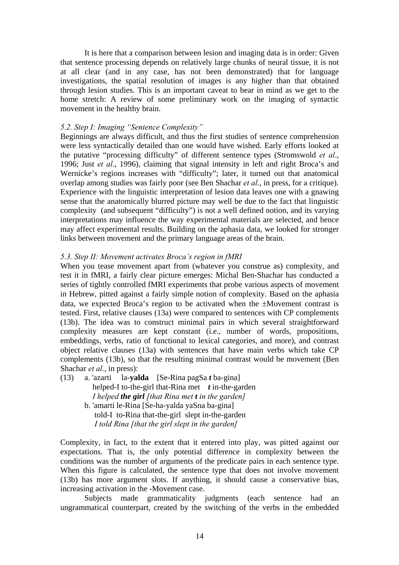It is here that a comparison between lesion and imaging data is in order: Given that sentence processing depends on relatively large chunks of neural tissue, it is not at all clear (and in any case, has not been demonstrated) that for language investigations, the spatial resolution of images is any higher than that obtained through lesion studies. This is an important caveat to bear in mind as we get to the home stretch: A review of some preliminary work on the imaging of syntactic movement in the healthy brain.

## *5.2. Step I: Imaging "Sentence Complexity"*

Beginnings are always difficult, and thus the first studies of sentence comprehension were less syntactically detailed than one would have wished. Early efforts looked at the putative "processing difficulty" of different sentence types (Stromswold *et al*., 1996; Just *et al*., 1996), claiming that signal intensity in left and right Broca's and Wernicke's regions increases with "difficulty"; later, it turned out that anatomical overlap among studies was fairly poor (see Ben Shachar *et al*., in press, for a critique). Experience with the linguistic interpretation of lesion data leaves one with a gnawing sense that the anatomically blurred picture may well be due to the fact that linguistic complexity (and subsequent "difficulty") is not a well defined notion, and its varying interpretations may influence the way experimental materials are selected, and hence may affect experimental results. Building on the aphasia data, we looked for stronger links between movement and the primary language areas of the brain.

## *5.3. Step II: Movement activates Broca's region in fMRI*

When you tease movement apart from (whatever you construe as) complexity, and test it in fMRI, a fairly clear picture emerges: Michal Ben-Shachar has conducted a series of tightly controlled fMRI experiments that probe various aspects of movement in Hebrew, pitted against a fairly simple notion of complexity. Based on the aphasia data, we expected Broca's region to be activated when the ±Movement contrast is tested. First, relative clauses (13a) were compared to sentences with CP complements (13b). The idea was to construct minimal pairs in which several straightforward complexity measures are kept constant (i.e., number of words, propositions, embeddings, verbs, ratio of functional to lexical categories, and more), and contrast object relative clauses (13a) with sentences that have main verbs which take CP complements (13b), so that the resulting minimal contrast would be movement (Ben Shachar *et al*., in press):

- (13) a. 'azarti la-**yalda** [Se-Rina pagSa *t* ba-gina] helped-I to-the-girl that-Rina met *t* in-the-garden *I helped the girl [that Rina met t in the garden]* 
	- b. 'amarti le-Rina [Se-ha-yalda yaSna ba-gina] told-I to-Rina that-the-girl slept in-the-garden *I told Rina [that the girl slept in the garden]*

Complexity, in fact, to the extent that it entered into play, was pitted against our expectations. That is, the only potential difference in complexity between the conditions was the number of arguments of the predicate pairs in each sentence type. When this figure is calculated, the sentence type that does not involve movement (13b) has more argument slots. If anything, it should cause a conservative bias, increasing activation in the -Movement case.

Subjects made grammaticality judgments (each sentence had an ungrammatical counterpart, created by the switching of the verbs in the embedded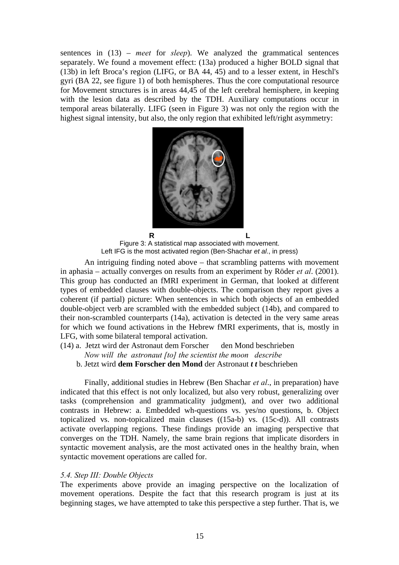sentences in (13) – *meet* for *sleep*). We analyzed the grammatical sentences separately. We found a movement effect: (13a) produced a higher BOLD signal that (13b) in left Broca's region (LIFG, or BA 44, 45) and to a lesser extent, in Heschl's gyri (BA 22, see figure 1) of both hemispheres. Thus the core computational resource for Movement structures is in areas 44,45 of the left cerebral hemisphere, in keeping with the lesion data as described by the TDH. Auxiliary computations occur in temporal areas bilaterally. LIFG (seen in Figure 3) was not only the region with the highest signal intensity, but also, the only region that exhibited left/right asymmetry:



Figure 3: A statistical map associated with movement. Left IFG is the most activated region (Ben-Shachar *et al*., in press)

An intriguing finding noted above – that scrambling patterns with movement in aphasia – actually converges on results from an experiment by Röder *et al*. (2001). This group has conducted an fMRI experiment in German, that looked at different types of embedded clauses with double-objects. The comparison they report gives a coherent (if partial) picture: When sentences in which both objects of an embedded double-object verb are scrambled with the embedded subject (14b), and compared to their non-scrambled counterparts (14a), activation is detected in the very same areas for which we found activations in the Hebrew fMRI experiments, that is, mostly in LFG, with some bilateral temporal activation.

(14) a. Jetzt wird der Astronaut dem Forscher den Mond beschrieben

*Now will the astronaut [to] the scientist the moon describe*

b. Jetzt wird **dem Forscher den Mond** der Astronaut *t t* beschrieben

Finally, additional studies in Hebrew (Ben Shachar *et al*., in preparation) have indicated that this effect is not only localized, but also very robust, generalizing over tasks (comprehension and grammaticality judgment), and over two additional contrasts in Hebrew: a. Embedded wh-questions vs. yes/no questions, b. Object topicalized vs. non-topicalized main clauses ((15a-b) vs. (15c-d)). All contrasts activate overlapping regions. These findings provide an imaging perspective that converges on the TDH. Namely, the same brain regions that implicate disorders in syntactic movement analysis, are the most activated ones in the healthy brain, when syntactic movement operations are called for.

#### *5.4. Step III: Double Objects*

The experiments above provide an imaging perspective on the localization of movement operations. Despite the fact that this research program is just at its beginning stages, we have attempted to take this perspective a step further. That is, we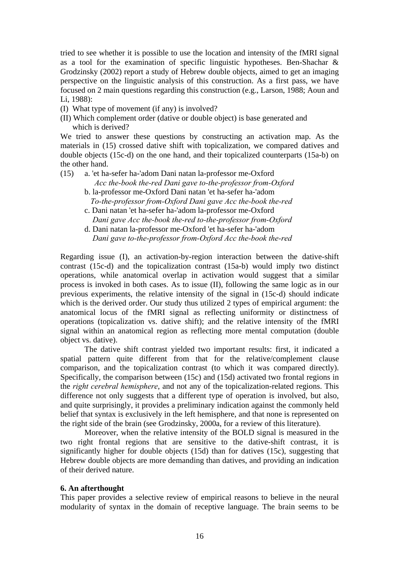tried to see whether it is possible to use the location and intensity of the fMRI signal as a tool for the examination of specific linguistic hypotheses. Ben-Shachar & Grodzinsky (2002) report a study of Hebrew double objects, aimed to get an imaging perspective on the linguistic analysis of this construction. As a first pass, we have focused on 2 main questions regarding this construction (e.g., Larson, 1988; Aoun and Li, 1988):

- (I) What type of movement (if any) is involved?
- (II) Which complement order (dative or double object) is base generated and which is derived?

We tried to answer these questions by constructing an activation map. As the materials in (15) crossed dative shift with topicalization, we compared datives and double objects (15c-d) on the one hand, and their topicalized counterparts (15a-b) on the other hand.

- (15) a. 'et ha-sefer ha-'adom Dani natan la-professor me-Oxford
	- *Acc the-book the-red Dani gave to-the-professor from-Oxford*  b. la-professor me-Oxford Dani natan 'et ha-sefer ha-'adom
		- *To-the-professor from-Oxford Dani gave Acc the-book the-red*
	- c. Dani natan 'et ha-sefer ha-'adom la-professor me-Oxford  *Dani gave Acc the-book the-red to-the-professor from-Oxford*
	- d. Dani natan la-professor me-Oxford 'et ha-sefer ha-'adom  *Dani gave to-the-professor from-Oxford Acc the-book the-red*

Regarding issue (I), an activation-by-region interaction between the dative-shift contrast (15c-d) and the topicalization contrast (15a-b) would imply two distinct operations, while anatomical overlap in activation would suggest that a similar process is invoked in both cases. As to issue (II), following the same logic as in our previous experiments, the relative intensity of the signal in (15c-d) should indicate which is the derived order. Our study thus utilized 2 types of empirical argument: the anatomical locus of the fMRI signal as reflecting uniformity or distinctness of operations (topicalization vs. dative shift); and the relative intensity of the fMRI signal within an anatomical region as reflecting more mental computation (double object vs. dative).

The dative shift contrast yielded two important results: first, it indicated a spatial pattern quite different from that for the relative/complement clause comparison, and the topicalization contrast (to which it was compared directly). Specifically, the comparison between (15c) and (15d) activated two frontal regions in the *right cerebral hemisphere*, and not any of the topicalization-related regions. This difference not only suggests that a different type of operation is involved, but also, and quite surprisingly, it provides a preliminary indication against the commonly held belief that syntax is exclusively in the left hemisphere, and that none is represented on the right side of the brain (see Grodzinsky, 2000a, for a review of this literature).

Moreover, when the relative intensity of the BOLD signal is measured in the two right frontal regions that are sensitive to the dative-shift contrast, it is significantly higher for double objects (15d) than for datives (15c), suggesting that Hebrew double objects are more demanding than datives, and providing an indication of their derived nature.

# **6. An afterthought**

This paper provides a selective review of empirical reasons to believe in the neural modularity of syntax in the domain of receptive language. The brain seems to be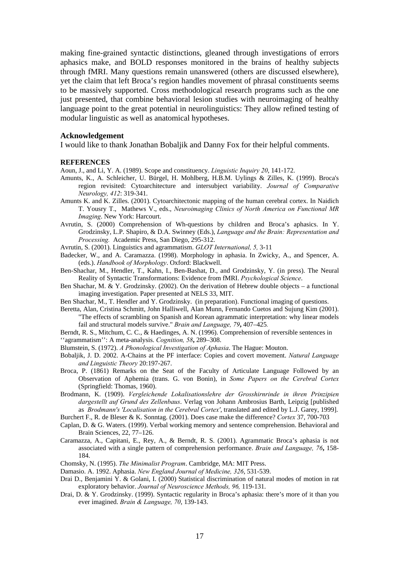making fine-grained syntactic distinctions, gleaned through investigations of errors aphasics make, and BOLD responses monitored in the brains of healthy subjects through fMRI. Many questions remain unanswered (others are discussed elsewhere), yet the claim that left Broca's region handles movement of phrasal constituents seems to be massively supported. Cross methodological research programs such as the one just presented, that combine behavioral lesion studies with neuroimaging of healthy language point to the great potential in neurolinguistics: They allow refined testing of modular linguistic as well as anatomical hypotheses.

#### **Acknowledgement**

I would like to thank Jonathan Bobaljik and Danny Fox for their helpful comments.

#### **REFERENCES**

Aoun, J., and Li, Y. A. (1989). Scope and constituency. *Linguistic Inquiry 20*, 141-172.

- Amunts, K., A. Schleicher, U. Bürgel, H. Mohlberg, H.B.M. Uylings & Zilles, K. (1999). Broca's region revisited: Cytoarchitecture and intersubject variability. *Journal of Comparative Neurology, 412*: 319-341.
- Amunts K. and K. Zilles. (2001). Cytoarchitectonic mapping of the human cerebral cortex. In Naidich T. Yousry T., Mathews V., eds., *Neuroimaging Clinics of North America on Functional MR Imaging*. New York: Harcourt.
- Avrutin, S. (2000) Comprehension of Wh-questions by children and Broca's aphasics. In Y. Grodzinsky, L.P. Shapiro, & D.A. Swinney (Eds.), *Language and the Brain: Representation and Processing.* Academic Press, San Diego, 295-312.

Avrutin, S. (2001). Linguistics and agrammatism. *GLOT International, 5,* 3-11

- Badecker, W., and A. Caramazza. (1998). Morphology in aphasia. In Zwicky, A., and Spencer, A. (eds.). *Handbook of Morphology*. Oxford: Blackwell.
- Ben-Shachar, M., Hendler, T., Kahn, I., Ben-Bashat, D., and Grodzinsky, Y. (in press). The Neural Reality of Syntactic Transformations: Evidence from fMRI. *Psychological Science*.
- Ben Shachar, M. & Y. Grodzinsky. (2002). On the derivation of Hebrew double objects a functional imaging investigation. Paper presented at NELS 33, MIT.
- Ben Shachar, M., T. Hendler and Y. Grodzinsky. (in preparation). Functional imaging of questions.

Beretta, Alan, Cristina Schmitt, John Halliwell, Alan Munn, Fernando Cuetos and Sujung Kim (2001). "The effects of scrambling on Spanish and Korean agrammatic interpretation: why linear models fail and structural models survive." *Brain and Language, 79***,** 407–425*.*

Berndt, R. S., Mitchum, C. C., & Haedinges, A. N. (1996). Comprehension of reversible sentences in ''agrammatism'': A meta-analysis. *Cognition, 58***,** 289–308.

Blumstein, S. (1972). *A Phonological Investigation of Aphasia*. The Hague: Mouton.

- Bobaljik, J. D. 2002. A-Chains at the PF interface: Copies and covert movement. *Natural Language and Linguistic Theory* 20:197-267.
- Broca, P. (1861) Remarks on the Seat of the Faculty of Articulate Language Followed by an Observation of Aphemia (trans. G. von Bonin), in *Some Papers on the Cerebral Cortex* (Springfield: Thomas, 1960).
- Brodmann, K. (1909). *Vergleichende Lokalisationslehre der Grosshirnrinde in ihren Prinzipien dargestellt auf Grund des Zellenbaus*. Verlag von Johann Ambrosius Barth, Leipzig [published as *Brodmann's 'Localisation in the Cerebral Cortex'*, translated and edited by L.J. Garey, 1999].

Burchert F., R. de Bleser & K. Sonntag. (2001). Does case make the difference? *Cortex* 37, 700-703

- Caplan, D. & G. Waters. (1999). Verbal working memory and sentence comprehension. Behavioral and Brain Sciences, 22, 77–126.
- Caramazza, A., Capitani, E., Rey, A., & Berndt, R. S. (2001). Agrammatic Broca's aphasia is not associated with a single pattern of comprehension performance. *Brain and Language, 76***,** 158- 184.

Chomsky, N. (1995). *The Minimalist Program*. Cambridge, MA: MIT Press.

Damasio. A. 1992. Aphasia. *New England Journal of Medicine, 326*, 531-539.

- Drai D., Benjamini Y. & Golani, I. (2000) Statistical discrimination of natural modes of motion in rat exploratory behavior. *Journal of Neuroscience Methods, 96,* 119-131.
- Drai, D. & Y. Grodzinsky. (1999). Syntactic regularity in Broca's aphasia: there's more of it than you ever imagined. *Brain & Language, 70*, 139-143.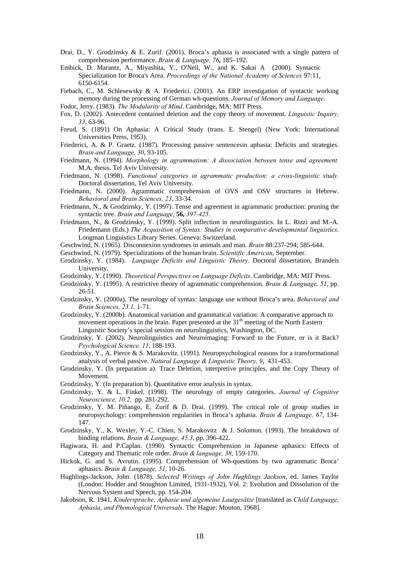- Drai, D., Y. Grodzinsky & E. Zurif. (2001). Broca's aphasia is associated with a single pattern of comprehension performance. *Brain & Language, 76***,** 185–192.
- Embick, D. Marantz, A., Miyashita, Y., O'Neil, W., and K. Sakai A (2000). Syntactic Specialization for Broca's Area. *Proceedings of the National Academy of Sciences* 97:11, 6150-6154.
- Fiebach, C., M. Schlesewsky & A. Friederici. (2001). An ERP investigation of syntactic working memory during the processing of German wh-questions. *Journal of Memory and Language*.
- Fodor, Jerry. (1983). *The Modularity of Mind*. Cambridge, MA: MIT Press.
- Fox, D. (2002). Antecedent contained deletion and the copy theory of movement. *Linguistic Inquiry, 33*, 63-96.
- Freud, S. (1891) On Aphasia: A Critical Study (trans. E. Stengel) (New York: International Universities Press, 1953).
- Friederici, A. & P. Graetz. (1987). Processing passive sentencesin aphasia: Deficits and strategies. *Brain and Language, 30*, 93-105.
- Friedmann, N. (1994). *Morphology in agrammatism: A dissociation between tense and agreement.* M.A. thesis. Tel Aviv University.
- Friedmann, N. (1998). *Functional categories in agrammatic production: a cross-linguistic study.* Doctoral dissertation, Tel Aviv University.
- Friedmann, N. (2000). Agrammatic comprehension of OVS and OSV structures in Hebrew. *Behavioral and Brain Sciences, 23*, 33-34.
- Friedmann, N., & Grodzinsky, Y. (1997). Tense and agreement in agrammatic production: pruning the syntactic tree. *Brain and Language*, **56***, 397-425.*
- Friedmann, N., & Grodzinsky, Y. (1999). Split inflection in neurolinguistics. In L. Rizzi and M.-A. Friedemann (Eds.) *The Acquisition of Syntax: Studies in comparative developmental linguistics*. Longman Linguistics Library Series. Geneva: Switzerland.
- Geschwind, N. (1965). Disconnexion syndromes in animals and man. *Brain* 88:237-294; 585-644.
- Geschwind, N. (1979). Specializations of the human brain. *Scientific American*, September.
- Grodzinsky, Y. (1984). *Language Deficits and Linguistic Theory*. Doctoral dissertation, Brandeis University.
- Grodzinsky, Y. (1990). *Theoretical Perspectives on Language Deficits*. Cambridge, MA: MIT Press.
- Grodzinsky, Y. (1995). A restrictive theory of agrammatic comprehension. *Brain & Language, 51*, pp. 26-51*.*
- Grodzinsky, Y. (2000a). The neurology of syntax: language use without Broca's area. *Behavioral and Brain Sciences, 23.1,* 1-71.
- Grodzinsky, Y. (2000b). Anatomical variation and grammatical variation: A comparative approach to movement operations in the brain. Paper presented at the  $31<sup>th</sup>$  meeting of the North Eastern Linguistic Society's special session on neurolinguistics, Washington, DC.
- Grodzinsky, Y. (2002). Neurolinguistics and Neuroimaging: Forward to the Future, or is it Back? *Psychological Science, 11*, 188-193.
- Grodzinsky, Y., A. Pierce & S. Marakovitz. (1991). Neuropsychological reasons for a transformational analysis of verbal passive. *Natural Language & Linguistic Theory, 9*, 431-453.
- Grodzinsky, Y. (In preparation a). Trace Deletion, interpretive principles, and the Copy Theory of Movement.
- Grodzinsky, Y. (In preparation b). Quantitative error analysis in syntax.
- Grodzinsky, Y. & L. Finkel. (1998). The neurology of empty categories. *Journal of Cognitive Neuroscience, 10.2,* pp. 281-292.
- Grodzinsky, Y. M. Piñango, E. Zurif & D. Drai. (1999). The critical role of group studies in neuropsychology: comprehension regularities in Broca's aphasia. *Brain & Language, 67*, 134- 147.
- Grodzinsky, Y., K. Wexler, Y.-C. Chien, S. Marakovitz & J. Solomon. (1993). The breakdown of binding relations. *Brain & Language, 45.3*, pp. 396-422.
- Hagiwara, H. and P.Caplan. (1990). Syntactic Comprehension in Japanese aphasics: Effects of Category and Thematic role order. *Brain & language, 38*, 159-170.
- Hickok, G. and S. Avrutin. (1995). Comprehension of Wh-questions by two agrammatic Broca' aphasics. *Brain & Language, 51*, 10-26.
- Hughlings-Jackson, John. (1878). *Selected Writings of John Hughlings Jackson*, ed. James Taylor (London: Hodder and Stoughton Limited, 1931-1932), Vol. 2: Evolution and Dissolution of the Nervous System and Speech, pp. 154-204.
- Jakobson, R. 1941. *Kindersprache, Aphasie und algemeine Lautgesätze* [translated as *Child Language, Aphasia, and Phonological Universals*. The Hague: Mouton, 1968].